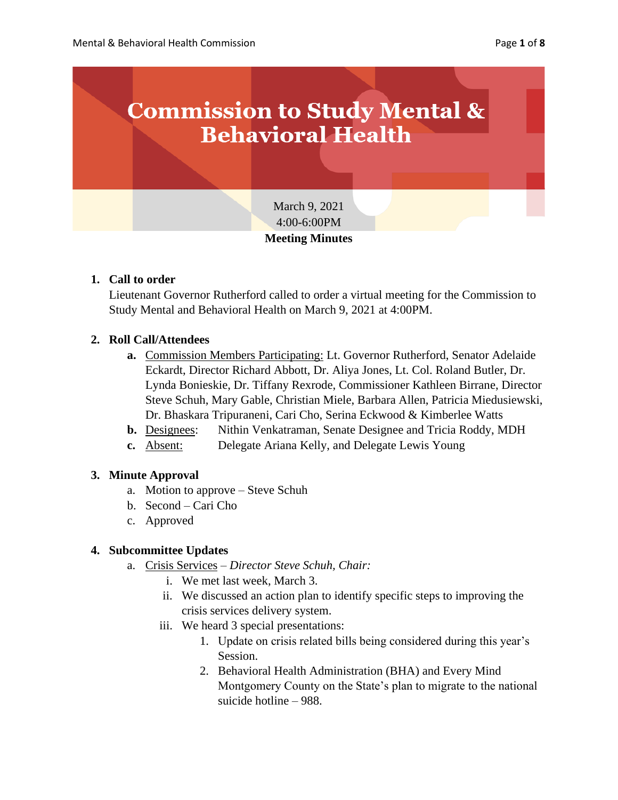

## **1. Call to order**

Lieutenant Governor Rutherford called to order a virtual meeting for the Commission to Study Mental and Behavioral Health on March 9, 2021 at 4:00PM.

# **2. Roll Call/Attendees**

- **a.** Commission Members Participating: Lt. Governor Rutherford, Senator Adelaide Eckardt, Director Richard Abbott, Dr. Aliya Jones, Lt. Col. Roland Butler, Dr. Lynda Bonieskie, Dr. Tiffany Rexrode, Commissioner Kathleen Birrane, Director Steve Schuh, Mary Gable, Christian Miele, Barbara Allen, Patricia Miedusiewski, Dr. Bhaskara Tripuraneni, Cari Cho, Serina Eckwood & Kimberlee Watts
- **b.** Designees: Nithin Venkatraman, Senate Designee and Tricia Roddy, MDH
- **c.** Absent: Delegate Ariana Kelly, and Delegate Lewis Young

#### **3. Minute Approval**

- a. Motion to approve Steve Schuh
- b. Second Cari Cho
- c. Approved

#### **4. Subcommittee Updates**

- a. Crisis Services *Director Steve Schuh, Chair:*
	- i. We met last week, March 3.
	- ii. We discussed an action plan to identify specific steps to improving the crisis services delivery system.
	- iii. We heard 3 special presentations:
		- 1. Update on crisis related bills being considered during this year's Session.
		- 2. Behavioral Health Administration (BHA) and Every Mind Montgomery County on the State's plan to migrate to the national suicide hotline – 988.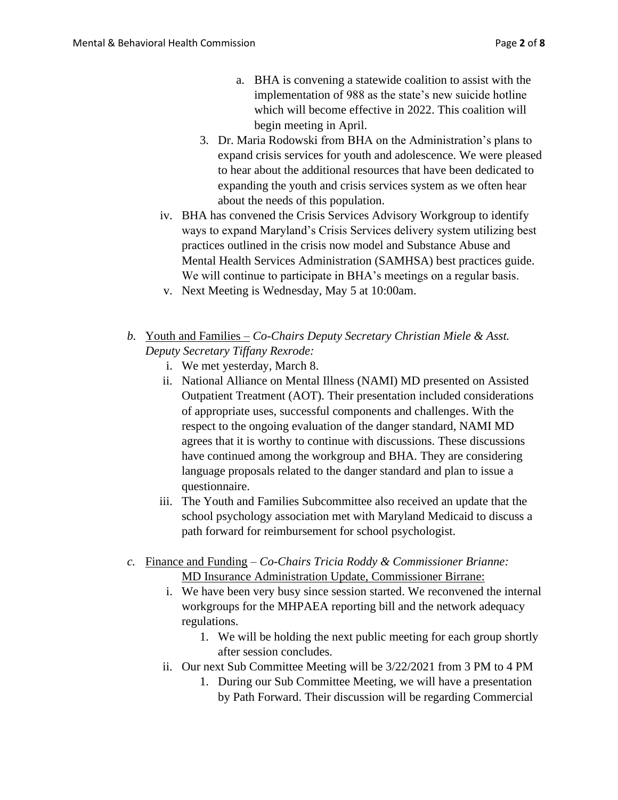- a. BHA is convening a statewide coalition to assist with the implementation of 988 as the state's new suicide hotline which will become effective in 2022. This coalition will begin meeting in April.
- 3. Dr. Maria Rodowski from BHA on the Administration's plans to expand crisis services for youth and adolescence. We were pleased to hear about the additional resources that have been dedicated to expanding the youth and crisis services system as we often hear about the needs of this population.
- iv. BHA has convened the Crisis Services Advisory Workgroup to identify ways to expand Maryland's Crisis Services delivery system utilizing best practices outlined in the crisis now model and Substance Abuse and Mental Health Services Administration (SAMHSA) best practices guide. We will continue to participate in BHA's meetings on a regular basis.
- v. Next Meeting is Wednesday, May 5 at 10:00am.
- *b.* Youth and Families *Co-Chairs Deputy Secretary Christian Miele & Asst. Deputy Secretary Tiffany Rexrode:*
	- i. We met yesterday, March 8.
	- ii. National Alliance on Mental Illness (NAMI) MD presented on Assisted Outpatient Treatment (AOT). Their presentation included considerations of appropriate uses, successful components and challenges. With the respect to the ongoing evaluation of the danger standard, NAMI MD agrees that it is worthy to continue with discussions. These discussions have continued among the workgroup and BHA. They are considering language proposals related to the danger standard and plan to issue a questionnaire.
	- iii. The Youth and Families Subcommittee also received an update that the school psychology association met with Maryland Medicaid to discuss a path forward for reimbursement for school psychologist.
- *c.* Finance and Funding *Co-Chairs Tricia Roddy & Commissioner Brianne:* MD Insurance Administration Update, Commissioner Birrane:
	- i. We have been very busy since session started. We reconvened the internal workgroups for the MHPAEA reporting bill and the network adequacy regulations.
		- 1. We will be holding the next public meeting for each group shortly after session concludes.
	- ii. Our next Sub Committee Meeting will be 3/22/2021 from 3 PM to 4 PM
		- 1. During our Sub Committee Meeting, we will have a presentation by Path Forward. Their discussion will be regarding Commercial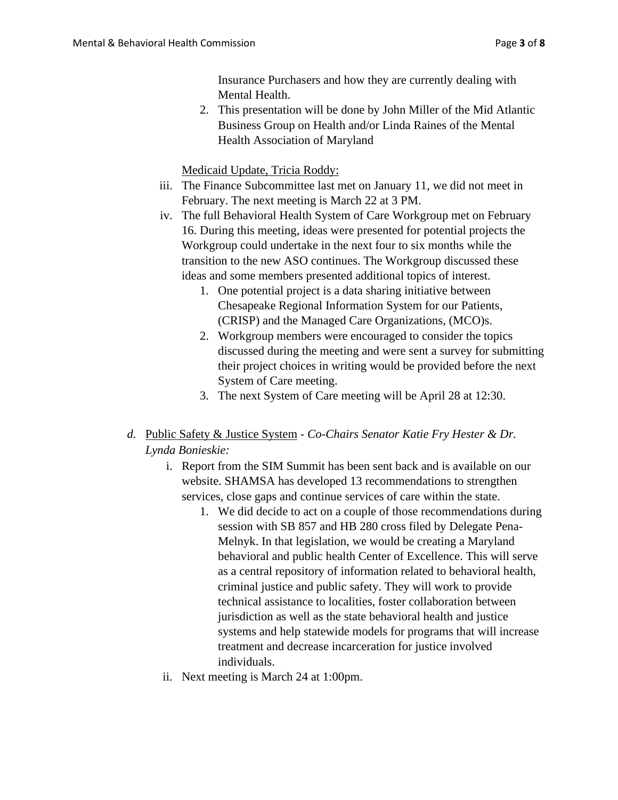Insurance Purchasers and how they are currently dealing with Mental Health.

2. This presentation will be done by John Miller of the Mid Atlantic Business Group on Health and/or Linda Raines of the Mental Health Association of Maryland

Medicaid Update, Tricia Roddy:

- iii. The Finance Subcommittee last met on January 11, we did not meet in February. The next meeting is March 22 at 3 PM.
- iv. The full Behavioral Health System of Care Workgroup met on February 16. During this meeting, ideas were presented for potential projects the Workgroup could undertake in the next four to six months while the transition to the new ASO continues. The Workgroup discussed these ideas and some members presented additional topics of interest.
	- 1. One potential project is a data sharing initiative between Chesapeake Regional Information System for our Patients, (CRISP) and the Managed Care Organizations, (MCO)s.
	- 2. Workgroup members were encouraged to consider the topics discussed during the meeting and were sent a survey for submitting their project choices in writing would be provided before the next System of Care meeting.
	- 3. The next System of Care meeting will be April 28 at 12:30.
- *d.* Public Safety & Justice System *Co-Chairs Senator Katie Fry Hester & Dr. Lynda Bonieskie:*
	- i. Report from the SIM Summit has been sent back and is available on our website. SHAMSA has developed 13 recommendations to strengthen services, close gaps and continue services of care within the state.
		- 1. We did decide to act on a couple of those recommendations during session with SB 857 and HB 280 cross filed by Delegate Pena-Melnyk. In that legislation, we would be creating a Maryland behavioral and public health Center of Excellence. This will serve as a central repository of information related to behavioral health, criminal justice and public safety. They will work to provide technical assistance to localities, foster collaboration between jurisdiction as well as the state behavioral health and justice systems and help statewide models for programs that will increase treatment and decrease incarceration for justice involved individuals.
	- ii. Next meeting is March 24 at 1:00pm.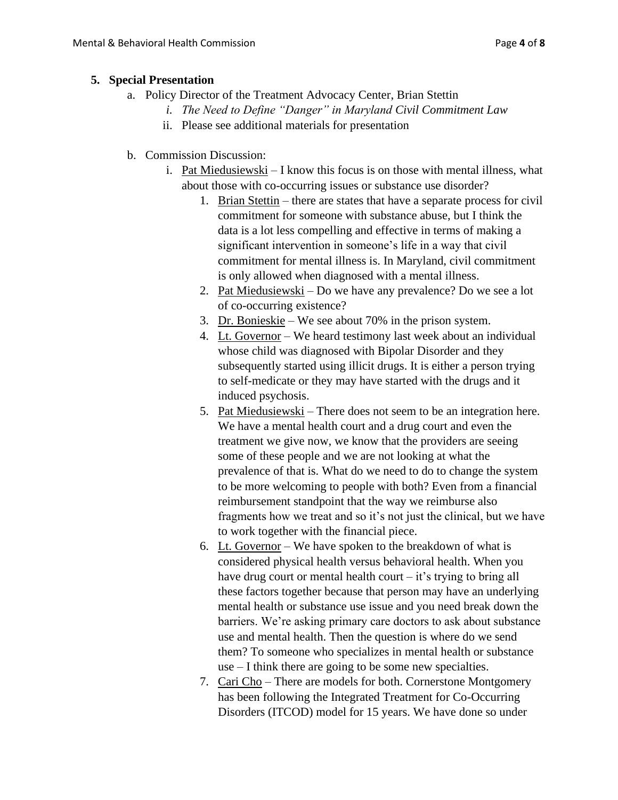#### **5. Special Presentation**

- a. Policy Director of the Treatment Advocacy Center, Brian Stettin
	- *i. The Need to Define "Danger" in Maryland Civil Commitment Law*
	- ii. Please see additional materials for presentation
- b. Commission Discussion:
	- i. Pat Miedusiewski I know this focus is on those with mental illness, what about those with co-occurring issues or substance use disorder?
		- 1. Brian Stettin there are states that have a separate process for civil commitment for someone with substance abuse, but I think the data is a lot less compelling and effective in terms of making a significant intervention in someone's life in a way that civil commitment for mental illness is. In Maryland, civil commitment is only allowed when diagnosed with a mental illness.
		- 2. Pat Miedusiewski Do we have any prevalence? Do we see a lot of co-occurring existence?
		- 3. Dr. Bonieskie We see about 70% in the prison system.
		- 4. Lt. Governor We heard testimony last week about an individual whose child was diagnosed with Bipolar Disorder and they subsequently started using illicit drugs. It is either a person trying to self-medicate or they may have started with the drugs and it induced psychosis.
		- 5. Pat Miedusiewski There does not seem to be an integration here. We have a mental health court and a drug court and even the treatment we give now, we know that the providers are seeing some of these people and we are not looking at what the prevalence of that is. What do we need to do to change the system to be more welcoming to people with both? Even from a financial reimbursement standpoint that the way we reimburse also fragments how we treat and so it's not just the clinical, but we have to work together with the financial piece.
		- 6. Lt. Governor We have spoken to the breakdown of what is considered physical health versus behavioral health. When you have drug court or mental health court – it's trying to bring all these factors together because that person may have an underlying mental health or substance use issue and you need break down the barriers. We're asking primary care doctors to ask about substance use and mental health. Then the question is where do we send them? To someone who specializes in mental health or substance use – I think there are going to be some new specialties.
		- 7. Cari Cho There are models for both. Cornerstone Montgomery has been following the Integrated Treatment for Co-Occurring Disorders (ITCOD) model for 15 years. We have done so under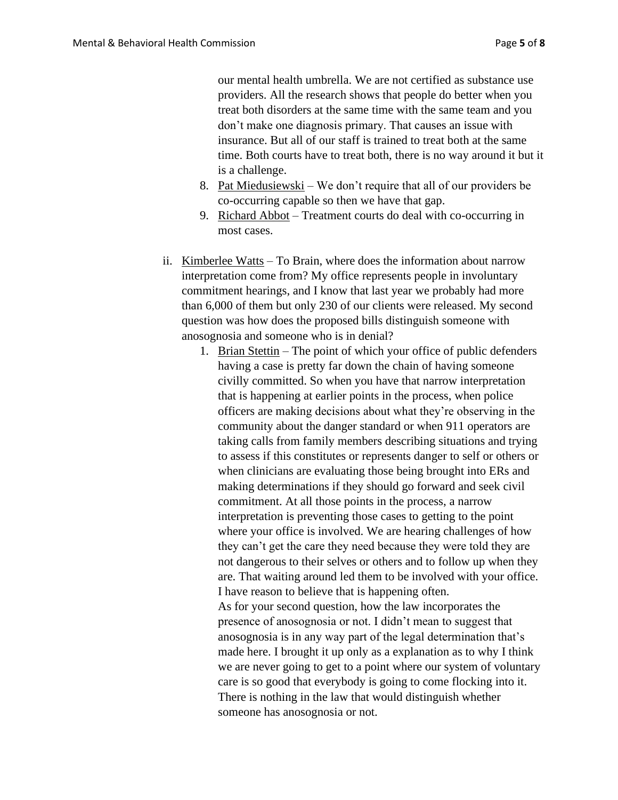our mental health umbrella. We are not certified as substance use providers. All the research shows that people do better when you treat both disorders at the same time with the same team and you don't make one diagnosis primary. That causes an issue with insurance. But all of our staff is trained to treat both at the same time. Both courts have to treat both, there is no way around it but it is a challenge.

- 8. Pat Miedusiewski We don't require that all of our providers be co-occurring capable so then we have that gap.
- 9. Richard Abbot Treatment courts do deal with co-occurring in most cases.
- ii. Kimberlee Watts To Brain, where does the information about narrow interpretation come from? My office represents people in involuntary commitment hearings, and I know that last year we probably had more than 6,000 of them but only 230 of our clients were released. My second question was how does the proposed bills distinguish someone with anosognosia and someone who is in denial?
	- 1. Brian Stettin The point of which your office of public defenders having a case is pretty far down the chain of having someone civilly committed. So when you have that narrow interpretation that is happening at earlier points in the process, when police officers are making decisions about what they're observing in the community about the danger standard or when 911 operators are taking calls from family members describing situations and trying to assess if this constitutes or represents danger to self or others or when clinicians are evaluating those being brought into ERs and making determinations if they should go forward and seek civil commitment. At all those points in the process, a narrow interpretation is preventing those cases to getting to the point where your office is involved. We are hearing challenges of how they can't get the care they need because they were told they are not dangerous to their selves or others and to follow up when they are. That waiting around led them to be involved with your office. I have reason to believe that is happening often.

As for your second question, how the law incorporates the presence of anosognosia or not. I didn't mean to suggest that anosognosia is in any way part of the legal determination that's made here. I brought it up only as a explanation as to why I think we are never going to get to a point where our system of voluntary care is so good that everybody is going to come flocking into it. There is nothing in the law that would distinguish whether someone has anosognosia or not.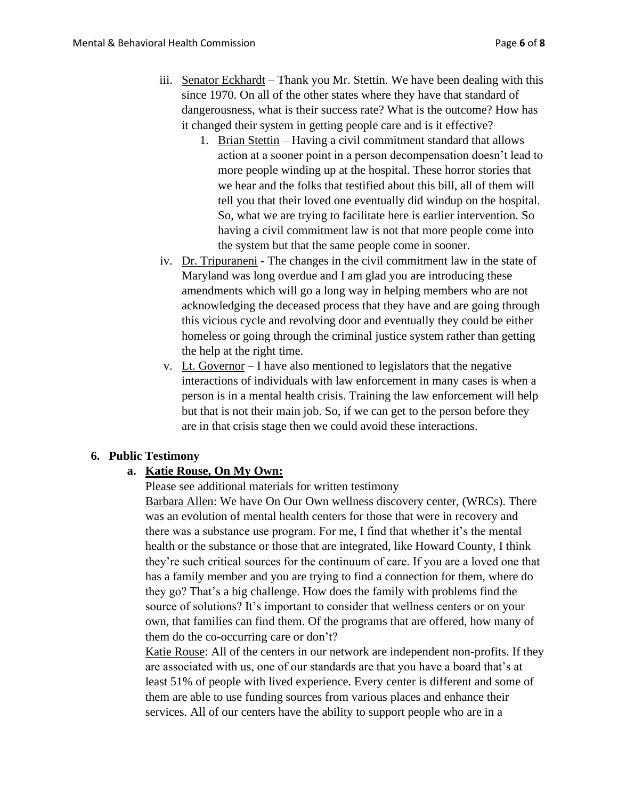- iii. Senator Eckhardt Thank you Mr. Stettin. We have been dealing with this since 1970. On all of the other states where they have that standard of dangerousness, what is their success rate? What is the outcome? How has it changed their system in getting people care and is it effective?
	- 1. Brian Stettin Having a civil commitment standard that allows action at a sooner point in a person decompensation doesn't lead to more people winding up at the hospital. These horror stories that we hear and the folks that testified about this bill, all of them will tell you that their loved one eventually did windup on the hospital. So, what we are trying to facilitate here is earlier intervention. So having a civil commitment law is not that more people come into the system but that the same people come in sooner.
- iv. Dr. Tripuraneni The changes in the civil commitment law in the state of Maryland was long overdue and I am glad you are introducing these amendments which will go a long way in helping members who are not acknowledging the deceased process that they have and are going through this vicious cycle and revolving door and eventually they could be either homeless or going through the criminal justice system rather than getting the help at the right time.
- v. Lt. Governor I have also mentioned to legislators that the negative interactions of individuals with law enforcement in many cases is when a person is in a mental health crisis. Training the law enforcement will help but that is not their main job. So, if we can get to the person before they are in that crisis stage then we could avoid these interactions.

#### **6. Public Testimony**

## **a. Katie Rouse, On My Own:**

Please see additional materials for written testimony

Barbara Allen: We have On Our Own wellness discovery center, (WRCs). There was an evolution of mental health centers for those that were in recovery and there was a substance use program. For me, I find that whether it's the mental health or the substance or those that are integrated, like Howard County, I think they're such critical sources for the continuum of care. If you are a loved one that has a family member and you are trying to find a connection for them, where do they go? That's a big challenge. How does the family with problems find the source of solutions? It's important to consider that wellness centers or on your own, that families can find them. Of the programs that are offered, how many of them do the co-occurring care or don't?

Katie Rouse: All of the centers in our network are independent non-profits. If they are associated with us, one of our standards are that you have a board that's at least 51% of people with lived experience. Every center is different and some of them are able to use funding sources from various places and enhance their services. All of our centers have the ability to support people who are in a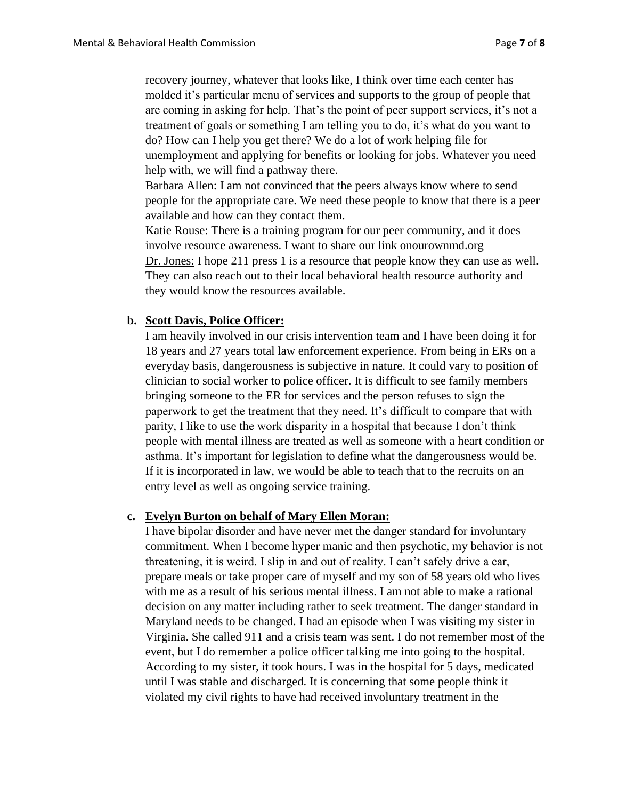recovery journey, whatever that looks like, I think over time each center has molded it's particular menu of services and supports to the group of people that are coming in asking for help. That's the point of peer support services, it's not a treatment of goals or something I am telling you to do, it's what do you want to do? How can I help you get there? We do a lot of work helping file for unemployment and applying for benefits or looking for jobs. Whatever you need help with, we will find a pathway there.

Barbara Allen: I am not convinced that the peers always know where to send people for the appropriate care. We need these people to know that there is a peer available and how can they contact them.

Katie Rouse: There is a training program for our peer community, and it does involve resource awareness. I want to share our link onourownmd.org Dr. Jones: I hope 211 press 1 is a resource that people know they can use as well. They can also reach out to their local behavioral health resource authority and they would know the resources available.

## **b. Scott Davis, Police Officer:**

I am heavily involved in our crisis intervention team and I have been doing it for 18 years and 27 years total law enforcement experience. From being in ERs on a everyday basis, dangerousness is subjective in nature. It could vary to position of clinician to social worker to police officer. It is difficult to see family members bringing someone to the ER for services and the person refuses to sign the paperwork to get the treatment that they need. It's difficult to compare that with parity, I like to use the work disparity in a hospital that because I don't think people with mental illness are treated as well as someone with a heart condition or asthma. It's important for legislation to define what the dangerousness would be. If it is incorporated in law, we would be able to teach that to the recruits on an entry level as well as ongoing service training.

#### **c. Evelyn Burton on behalf of Mary Ellen Moran:**

I have bipolar disorder and have never met the danger standard for involuntary commitment. When I become hyper manic and then psychotic, my behavior is not threatening, it is weird. I slip in and out of reality. I can't safely drive a car, prepare meals or take proper care of myself and my son of 58 years old who lives with me as a result of his serious mental illness. I am not able to make a rational decision on any matter including rather to seek treatment. The danger standard in Maryland needs to be changed. I had an episode when I was visiting my sister in Virginia. She called 911 and a crisis team was sent. I do not remember most of the event, but I do remember a police officer talking me into going to the hospital. According to my sister, it took hours. I was in the hospital for 5 days, medicated until I was stable and discharged. It is concerning that some people think it violated my civil rights to have had received involuntary treatment in the